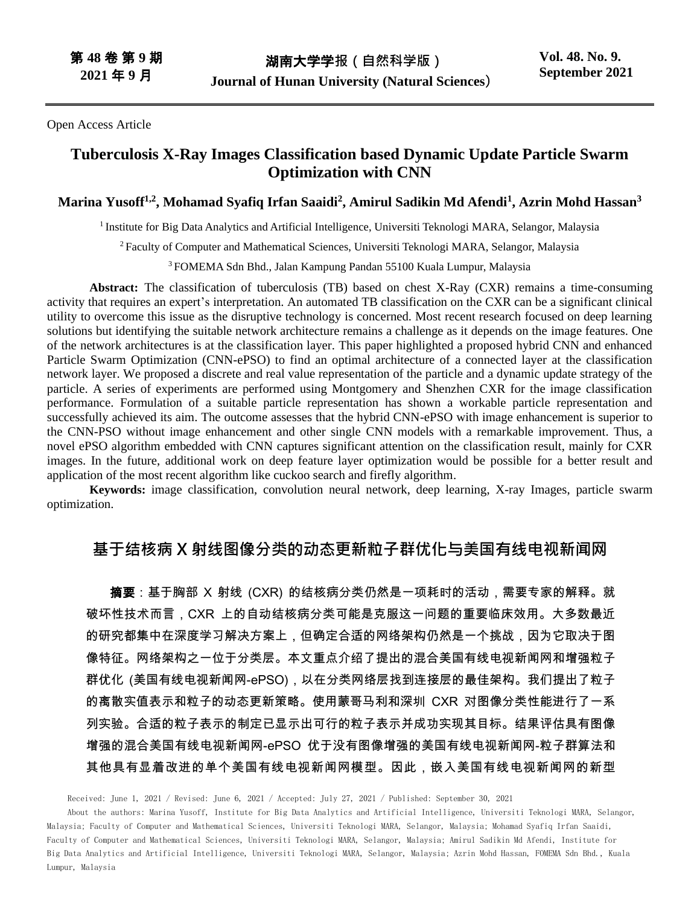Open Access Article

# **Tuberculosis X-Ray Images Classification based Dynamic Update Particle Swarm Optimization with CNN**

### **Marina Yusoff1,2, Mohamad Syafiq Irfan Saaidi<sup>2</sup> , Amirul Sadikin Md Afendi<sup>1</sup> , Azrin Mohd Hassan<sup>3</sup>**

<sup>1</sup> Institute for Big Data Analytics and Artificial Intelligence, Universiti Teknologi MARA, Selangor, Malaysia

<sup>2</sup> Faculty of Computer and Mathematical Sciences, Universiti Teknologi MARA, Selangor, Malaysia

<sup>3</sup> FOMEMA Sdn Bhd., Jalan Kampung Pandan 55100 Kuala Lumpur, Malaysia

**Abstract:** The classification of tuberculosis (TB) based on chest X-Ray (CXR) remains a time-consuming activity that requires an expert's interpretation. An automated TB classification on the CXR can be a significant clinical utility to overcome this issue as the disruptive technology is concerned. Most recent research focused on deep learning solutions but identifying the suitable network architecture remains a challenge as it depends on the image features. One of the network architectures is at the classification layer. This paper highlighted a proposed hybrid CNN and enhanced Particle Swarm Optimization (CNN-ePSO) to find an optimal architecture of a connected layer at the classification network layer. We proposed a discrete and real value representation of the particle and a dynamic update strategy of the particle. A series of experiments are performed using Montgomery and Shenzhen CXR for the image classification performance. Formulation of a suitable particle representation has shown a workable particle representation and successfully achieved its aim. The outcome assesses that the hybrid CNN-ePSO with image enhancement is superior to the CNN-PSO without image enhancement and other single CNN models with a remarkable improvement. Thus, a novel ePSO algorithm embedded with CNN captures significant attention on the classification result, mainly for CXR images. In the future, additional work on deep feature layer optimization would be possible for a better result and application of the most recent algorithm like cuckoo search and firefly algorithm.

**Keywords:** image classification, convolution neural network, deep learning, X-ray Images, particle swarm optimization.

# **基于结核病 X 射线图像分类的动态更新粒子群优化与美国有线电视新闻网**

**摘要**:基于胸部 X 射线 (CXR) 的结核病分类仍然是一项耗时的活动,需要专家的解释。就 破坏性技术而言,CXR 上的自动结核病分类可能是克服这一问题的重要临床效用。大多数最近 的研究都集中在深度学习解决方案上,但确定合适的网络架构仍然是一个挑战,因为它取决于图 像特征。网络架构之一位于分类层。本文重点介绍了提出的混合美国有线电视新闻网和增强粒子 群优化 (美国有线电视新闻网-ePSO),以在分类网络层找到连接层的最佳架构。我们提出了粒子 的离散实值表示和粒子的动态更新策略。使用蒙哥马利和深圳 CXR 对图像分类性能进行了一系 列实验。合适的粒子表示的制定已显示出可行的粒子表示并成功实现其目标。结果评估具有图像 增强的混合美国有线电视新闻网-ePSO 优于没有图像增强的美国有线电视新闻网-粒子群算法和 其他具有显着改进的单个美国有线电视新闻网模型。因此,嵌入美国有线电视新闻网的新型

Received: June 1, 2021 / Revised: June 6, 2021 / Accepted: July 27, 2021 / Published: September 30, 2021

About the authors: Marina Yusoff, Institute for Big Data Analytics and Artificial Intelligence, Universiti Teknologi MARA, Selangor, Malaysia; Faculty of Computer and Mathematical Sciences, Universiti Teknologi MARA, Selangor, Malaysia; Mohamad Syafiq Irfan Saaidi, Faculty of Computer and Mathematical Sciences, Universiti Teknologi MARA, Selangor, Malaysia; Amirul Sadikin Md Afendi, Institute for Big Data Analytics and Artificial Intelligence, Universiti Teknologi MARA, Selangor, Malaysia; Azrin Mohd Hassan, FOMEMA Sdn Bhd., Kuala Lumpur, Malaysia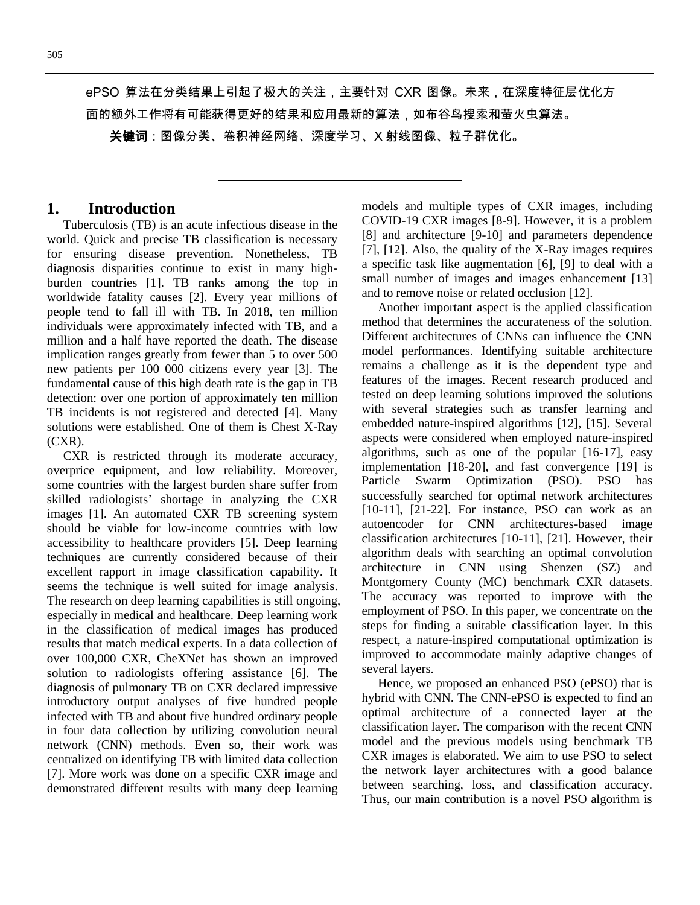ePSO 算法在分类结果上引起了极大的关注,主要针对 CXR 图像。未来,在深度特征层优化方 面的额外工作将有可能获得更好的结果和应用最新的算法,如布谷鸟搜索和萤火虫算法。

**关键词**:图像分类、卷积神经网络、深度学习、X 射线图像、粒子群优化。

### **1. Introduction**

Tuberculosis (TB) is an acute infectious disease in the world. Quick and precise TB classification is necessary for ensuring disease prevention. Nonetheless, TB diagnosis disparities continue to exist in many highburden countries [1]. TB ranks among the top in worldwide fatality causes [2]. Every year millions of people tend to fall ill with TB. In 2018, ten million individuals were approximately infected with TB, and a million and a half have reported the death. The disease implication ranges greatly from fewer than 5 to over 500 new patients per 100 000 citizens every year [3]. The fundamental cause of this high death rate is the gap in TB detection: over one portion of approximately ten million TB incidents is not registered and detected [4]. Many solutions were established. One of them is Chest X-Ray (CXR).

CXR is restricted through its moderate accuracy, overprice equipment, and low reliability. Moreover, some countries with the largest burden share suffer from skilled radiologists' shortage in analyzing the CXR images [1]. An automated CXR TB screening system should be viable for low-income countries with low accessibility to healthcare providers [5]. Deep learning techniques are currently considered because of their excellent rapport in image classification capability. It seems the technique is well suited for image analysis. The research on deep learning capabilities is still ongoing, especially in medical and healthcare. Deep learning work in the classification of medical images has produced results that match medical experts. In a data collection of over 100,000 CXR, CheXNet has shown an improved solution to radiologists offering assistance [6]. The diagnosis of pulmonary TB on CXR declared impressive introductory output analyses of five hundred people infected with TB and about five hundred ordinary people in four data collection by utilizing convolution neural network (CNN) methods. Even so, their work was centralized on identifying TB with limited data collection [7]. More work was done on a specific CXR image and demonstrated different results with many deep learning

models and multiple types of CXR images, including COVID-19 CXR images [8-9]. However, it is a problem [8] and architecture [9-10] and parameters dependence [7], [12]. Also, the quality of the X-Ray images requires a specific task like augmentation [6], [9] to deal with a small number of images and images enhancement [13] and to remove noise or related occlusion [12].

Another important aspect is the applied classification method that determines the accurateness of the solution. Different architectures of CNNs can influence the CNN model performances. Identifying suitable architecture remains a challenge as it is the dependent type and features of the images. Recent research produced and tested on deep learning solutions improved the solutions with several strategies such as transfer learning and embedded nature-inspired algorithms [12], [15]. Several aspects were considered when employed nature-inspired algorithms, such as one of the popular [16-17], easy implementation [18-20], and fast convergence [19] is Particle Swarm Optimization (PSO). PSO has successfully searched for optimal network architectures [10-11], [21-22]. For instance, PSO can work as an autoencoder for CNN architectures-based image classification architectures [10-11], [21]. However, their algorithm deals with searching an optimal convolution architecture in CNN using Shenzen (SZ) and Montgomery County (MC) benchmark CXR datasets. The accuracy was reported to improve with the employment of PSO. In this paper, we concentrate on the steps for finding a suitable classification layer. In this respect, a nature-inspired computational optimization is improved to accommodate mainly adaptive changes of several layers.

Hence, we proposed an enhanced PSO (ePSO) that is hybrid with CNN. The CNN-ePSO is expected to find an optimal architecture of a connected layer at the classification layer. The comparison with the recent CNN model and the previous models using benchmark TB CXR images is elaborated. We aim to use PSO to select the network layer architectures with a good balance between searching, loss, and classification accuracy. Thus, our main contribution is a novel PSO algorithm is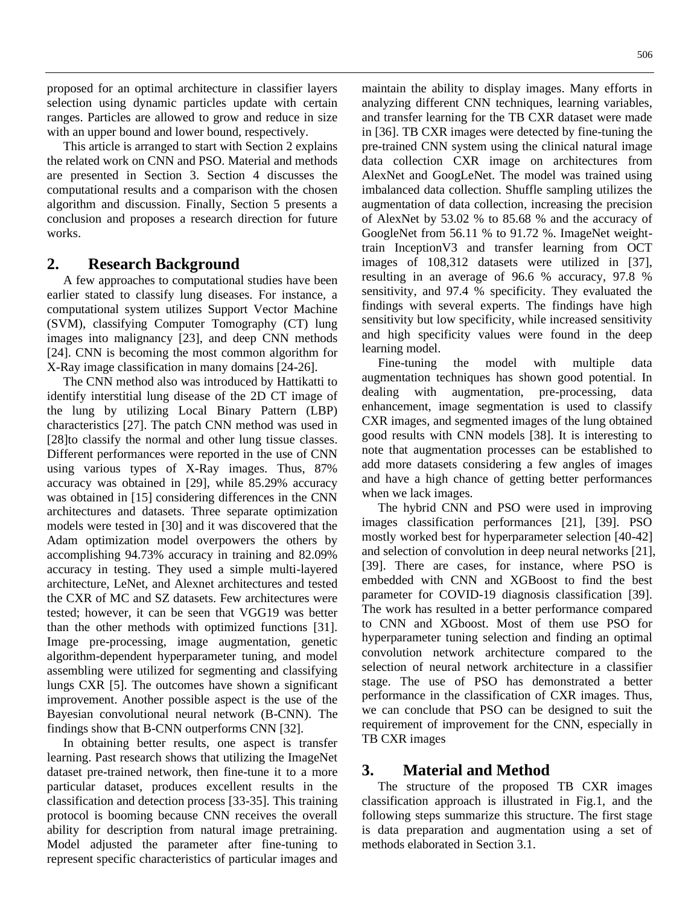proposed for an optimal architecture in classifier layers selection using dynamic particles update with certain ranges. Particles are allowed to grow and reduce in size with an upper bound and lower bound, respectively.

This article is arranged to start with Section 2 explains the related work on CNN and PSO. Material and methods are presented in Section 3. Section 4 discusses the computational results and a comparison with the chosen algorithm and discussion. Finally, Section 5 presents a conclusion and proposes a research direction for future works.

# **2. Research Background**

A few approaches to computational studies have been earlier stated to classify lung diseases. For instance, a computational system utilizes Support Vector Machine (SVM), classifying Computer Tomography (CT) lung images into malignancy [23], and deep CNN methods [24]. CNN is becoming the most common algorithm for X-Ray image classification in many domains [24-26].

The CNN method also was introduced by Hattikatti to identify interstitial lung disease of the 2D CT image of the lung by utilizing Local Binary Pattern (LBP) characteristics [27]. The patch CNN method was used in [28]to classify the normal and other lung tissue classes. Different performances were reported in the use of CNN using various types of X-Ray images. Thus, 87% accuracy was obtained in [29], while 85.29% accuracy was obtained in [15] considering differences in the CNN architectures and datasets. Three separate optimization models were tested in [30] and it was discovered that the Adam optimization model overpowers the others by accomplishing 94.73% accuracy in training and 82.09% accuracy in testing. They used a simple multi-layered architecture, LeNet, and Alexnet architectures and tested the CXR of MC and SZ datasets. Few architectures were tested; however, it can be seen that VGG19 was better than the other methods with optimized functions [31]. Image pre-processing, image augmentation, genetic algorithm-dependent hyperparameter tuning, and model assembling were utilized for segmenting and classifying lungs CXR [5]. The outcomes have shown a significant improvement. Another possible aspect is the use of the Bayesian convolutional neural network (B-CNN). The findings show that B-CNN outperforms CNN [32].

In obtaining better results, one aspect is transfer learning. Past research shows that utilizing the ImageNet dataset pre-trained network, then fine-tune it to a more particular dataset, produces excellent results in the classification and detection process [33-35]. This training protocol is booming because CNN receives the overall ability for description from natural image pretraining. Model adjusted the parameter after fine-tuning to represent specific characteristics of particular images and

maintain the ability to display images. Many efforts in analyzing different CNN techniques, learning variables, and transfer learning for the TB CXR dataset were made in [36]. TB CXR images were detected by fine-tuning the pre-trained CNN system using the clinical natural image data collection CXR image on architectures from AlexNet and GoogLeNet. The model was trained using imbalanced data collection. Shuffle sampling utilizes the augmentation of data collection, increasing the precision of AlexNet by 53.02 % to 85.68 % and the accuracy of GoogleNet from 56.11 % to 91.72 %. ImageNet weighttrain InceptionV3 and transfer learning from OCT images of 108,312 datasets were utilized in [37], resulting in an average of 96.6 % accuracy, 97.8 % sensitivity, and 97.4 % specificity. They evaluated the findings with several experts. The findings have high sensitivity but low specificity, while increased sensitivity and high specificity values were found in the deep learning model.

Fine-tuning the model with multiple data augmentation techniques has shown good potential. In dealing with augmentation, pre-processing, data enhancement, image segmentation is used to classify CXR images, and segmented images of the lung obtained good results with CNN models [38]. It is interesting to note that augmentation processes can be established to add more datasets considering a few angles of images and have a high chance of getting better performances when we lack images.

The hybrid CNN and PSO were used in improving images classification performances [21], [39]. PSO mostly worked best for hyperparameter selection [40-42] and selection of convolution in deep neural networks [21], [39]. There are cases, for instance, where PSO is embedded with CNN and XGBoost to find the best parameter for COVID-19 diagnosis classification [39]. The work has resulted in a better performance compared to CNN and XGboost. Most of them use PSO for hyperparameter tuning selection and finding an optimal convolution network architecture compared to the selection of neural network architecture in a classifier stage. The use of PSO has demonstrated a better performance in the classification of CXR images. Thus, we can conclude that PSO can be designed to suit the requirement of improvement for the CNN, especially in TB CXR images

# **3. Material and Method**

The structure of the proposed TB CXR images classification approach is illustrated in Fig.1, and the following steps summarize this structure. The first stage is data preparation and augmentation using a set of methods elaborated in Section 3.1.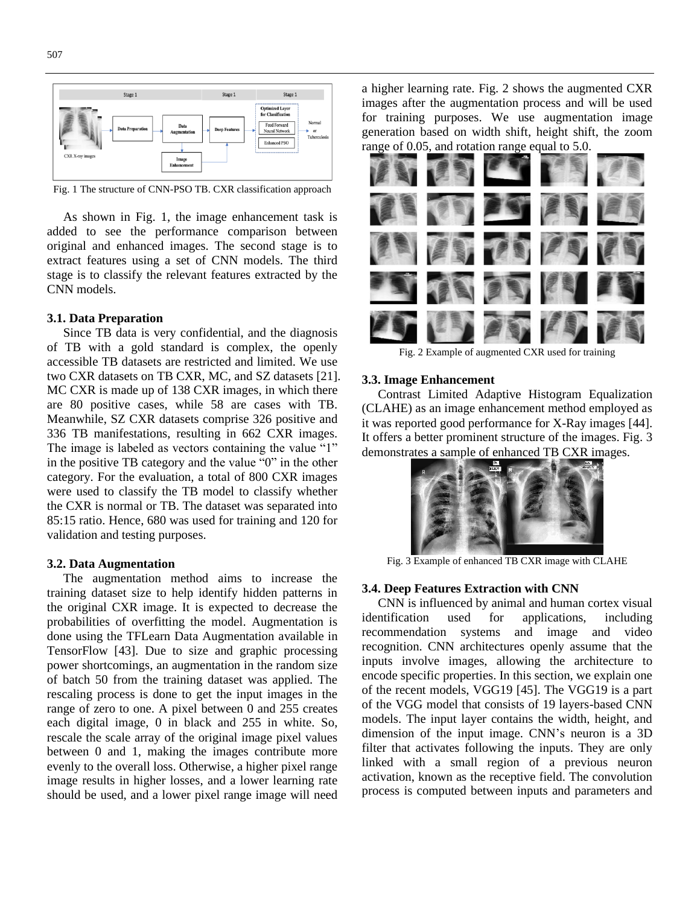

Fig. 1 The structure of CNN-PSO TB. CXR classification approach

As shown in Fig. 1, the image enhancement task is added to see the performance comparison between original and enhanced images. The second stage is to extract features using a set of CNN models. The third stage is to classify the relevant features extracted by the CNN models.

#### **3.1. Data Preparation**

Since TB data is very confidential, and the diagnosis of TB with a gold standard is complex, the openly accessible TB datasets are restricted and limited. We use two CXR datasets on TB CXR, MC, and SZ datasets [21]. MC CXR is made up of 138 CXR images, in which there are 80 positive cases, while 58 are cases with TB. Meanwhile, SZ CXR datasets comprise 326 positive and 336 TB manifestations, resulting in 662 CXR images. The image is labeled as vectors containing the value "1" in the positive TB category and the value "0" in the other category. For the evaluation, a total of 800 CXR images were used to classify the TB model to classify whether the CXR is normal or TB. The dataset was separated into 85:15 ratio. Hence, 680 was used for training and 120 for validation and testing purposes.

### **3.2. Data Augmentation**

The augmentation method aims to increase the training dataset size to help identify hidden patterns in the original CXR image. It is expected to decrease the probabilities of overfitting the model. Augmentation is done using the TFLearn Data Augmentation available in TensorFlow [43]. Due to size and graphic processing power shortcomings, an augmentation in the random size of batch 50 from the training dataset was applied. The rescaling process is done to get the input images in the range of zero to one. A pixel between 0 and 255 creates each digital image, 0 in black and 255 in white. So, rescale the scale array of the original image pixel values between 0 and 1, making the images contribute more evenly to the overall loss. Otherwise, a higher pixel range image results in higher losses, and a lower learning rate should be used, and a lower pixel range image will need

a higher learning rate. Fig. 2 shows the augmented CXR images after the augmentation process and will be used for training purposes. We use augmentation image generation based on width shift, height shift, the zoom range of 0.05, and rotation range equal to 5.0.



Fig. 2 Example of augmented CXR used for training

#### **3.3. Image Enhancement**

Contrast Limited Adaptive Histogram Equalization (CLAHE) as an image enhancement method employed as it was reported good performance for X-Ray images [44]. It offers a better prominent structure of the images. Fig. 3 demonstrates a sample of enhanced TB CXR images.



Fig. 3 Example of enhanced TB CXR image with CLAHE

### **3.4. Deep Features Extraction with CNN**

CNN is influenced by animal and human cortex visual identification used for applications, including recommendation systems and image and video recognition. CNN architectures openly assume that the inputs involve images, allowing the architecture to encode specific properties. In this section, we explain one of the recent models, VGG19 [45]. The VGG19 is a part of the VGG model that consists of 19 layers-based CNN models. The input layer contains the width, height, and dimension of the input image. CNN's neuron is a 3D filter that activates following the inputs. They are only linked with a small region of a previous neuron activation, known as the receptive field. The convolution process is computed between inputs and parameters and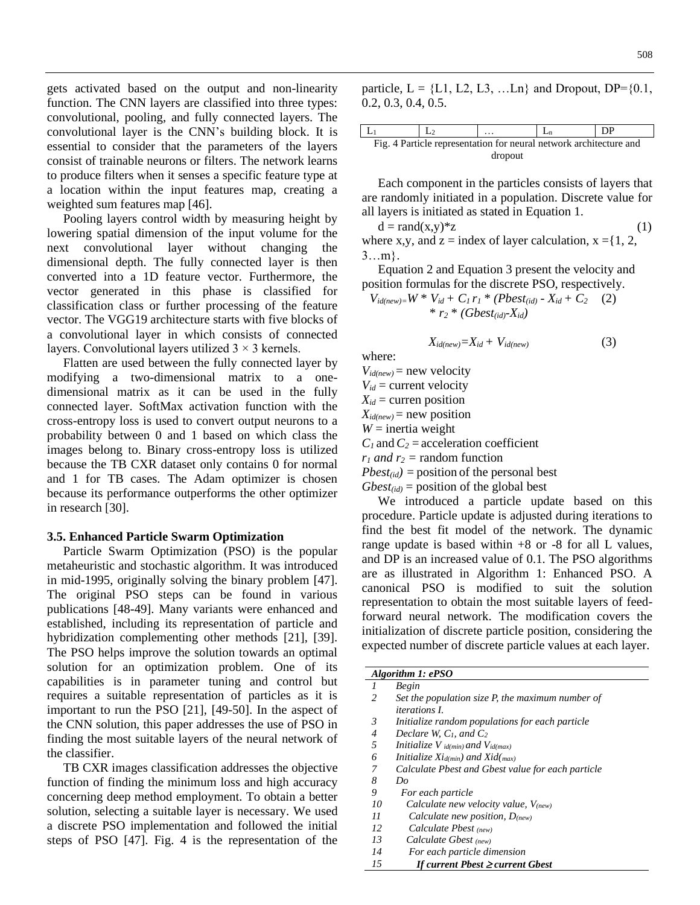gets activated based on the output and non-linearity function. The CNN layers are classified into three types: convolutional, pooling, and fully connected layers. The convolutional layer is the CNN's building block. It is essential to consider that the parameters of the layers consist of trainable neurons or filters. The network learns to produce filters when it senses a specific feature type at a location within the input features map, creating a weighted sum features map [46].

Pooling layers control width by measuring height by lowering spatial dimension of the input volume for the next convolutional layer without changing the dimensional depth. The fully connected layer is then converted into a 1D feature vector. Furthermore, the vector generated in this phase is classified for classification class or further processing of the feature vector. The VGG19 architecture starts with five blocks of a convolutional layer in which consists of connected layers. Convolutional layers utilized  $3 \times 3$  kernels.

Flatten are used between the fully connected layer by modifying a two-dimensional matrix to a onedimensional matrix as it can be used in the fully connected layer. SoftMax activation function with the cross-entropy loss is used to convert output neurons to a probability between 0 and 1 based on which class the images belong to. Binary cross-entropy loss is utilized because the TB CXR dataset only contains 0 for normal and 1 for TB cases. The Adam optimizer is chosen because its performance outperforms the other optimizer in research [30].

#### **3.5. Enhanced Particle Swarm Optimization**

Particle Swarm Optimization (PSO) is the popular metaheuristic and stochastic algorithm. It was introduced in mid-1995, originally solving the binary problem [47]. The original PSO steps can be found in various publications [48-49]. Many variants were enhanced and established, including its representation of particle and hybridization complementing other methods [21], [39]. The PSO helps improve the solution towards an optimal solution for an optimization problem. One of its capabilities is in parameter tuning and control but requires a suitable representation of particles as it is important to run the PSO [21], [49-50]. In the aspect of the CNN solution, this paper addresses the use of PSO in finding the most suitable layers of the neural network of the classifier.

TB CXR images classification addresses the objective function of finding the minimum loss and high accuracy concerning deep method employment. To obtain a better solution, selecting a suitable layer is necessary. We used a discrete PSO implementation and followed the initial steps of PSO [47]. Fig. 4 is the representation of the

|                                                                    |  | $\cdots$ |  | DP |  |  |
|--------------------------------------------------------------------|--|----------|--|----|--|--|
| Fig. 4 Particle representation for neural network architecture and |  |          |  |    |  |  |
| dropout                                                            |  |          |  |    |  |  |

Each component in the particles consists of layers that are randomly initiated in a population. Discrete value for all layers is initiated as stated in Equation 1.

 $d = rand(x,y)*z$  (1) where x,y, and  $z =$  index of layer calculation,  $x = \{1, 2, \ldots\}$  $3...m$ .

Equation 2 and Equation 3 present the velocity and position formulas for the discrete PSO, respectively.

$$
V_{id(new)=}W * V_{id} + C_1 r_1 * (Pbest_{(id)} - X_{id} + C_2 \t(2) * r_2 * (Gbest_{(id)} - X_{id})
$$

$$
X_{id(new)}=X_{id}+V_{id(new)}
$$
 (3)

where:

 $V_{\textit{id}(new)} =$  new velocity

 $V_{id}$  = current velocity

 $X_{id}$  = curren position

 $X_{id(new)}$  = new position  $W =$  inertia weight

 $C_1$  and  $C_2$  = acceleration coefficient

 $r_1$  *and*  $r_2$  = random function

 $Pbest_{tid}$  = position of the personal best

 $Gbest_{\text{tid}}$  = position of the global best

We introduced a particle update based on this procedure. Particle update is adjusted during iterations to find the best fit model of the network. The dynamic range update is based within  $+8$  or  $-8$  for all L values, and DP is an increased value of 0.1. The PSO algorithms are as illustrated in Algorithm 1: Enhanced PSO. A canonical PSO is modified to suit the solution representation to obtain the most suitable layers of feedforward neural network. The modification covers the initialization of discrete particle position, considering the expected number of discrete particle values at each layer.

|               | Algorithm 1: ePSO                                   |
|---------------|-----------------------------------------------------|
| $\prime$      | Begin                                               |
| $\mathcal{L}$ | Set the population size $P$ , the maximum number of |
|               | <i>iterations L</i>                                 |
| 3             | Initialize random populations for each particle     |
| 4             | Declare W, $C_1$ , and $C_2$                        |
| 5             | <i>Initialize V id(min)</i> and $V_{id(max)}$       |
| 6             | Initialize $Xi_{domin}$ ) and $Xi_{domin}$          |
|               | Calculate Pbest and Gbest value for each particle   |
| 8             | Do                                                  |
| 9             | For each particle                                   |
| 10            | Calculate new velocity value, $V_{(new)}$           |
| 11            | Calculate new position, $D_{(new)}$                 |
| 12            | Calculate Pbest $_{(new)}$                          |
| 13            | Calculate Gbest (new)                               |
| 14            | For each particle dimension                         |
| 15            | If current Pbest $\geq$ current Gbest               |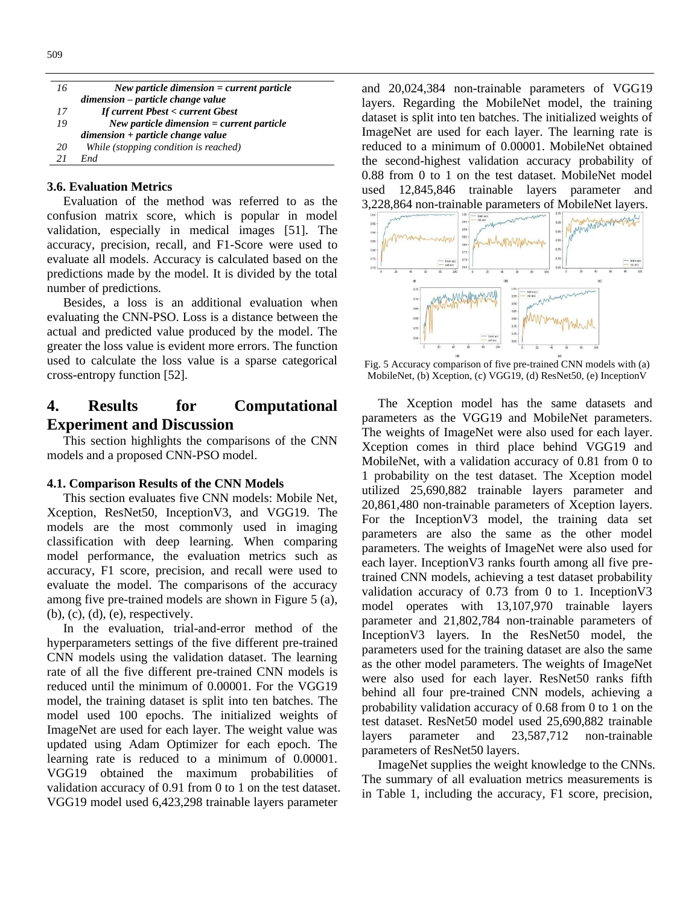| 16 | New particle dimension $=$ current particle |
|----|---------------------------------------------|
|    | dimension – particle change value           |
| 17 | <b>If current Pbest &lt; current Gbest</b>  |
| 19 | New particle dimension $=$ current particle |
|    | $dimension + particle change value$         |
| 20 | While (stopping condition is reached)       |
| 21 | <b>End</b>                                  |

### **3.6. Evaluation Metrics**

Evaluation of the method was referred to as the confusion matrix score, which is popular in model validation, especially in medical images [51]. The accuracy, precision, recall, and F1-Score were used to evaluate all models. Accuracy is calculated based on the predictions made by the model. It is divided by the total number of predictions.

Besides, a loss is an additional evaluation when evaluating the CNN-PSO. Loss is a distance between the actual and predicted value produced by the model. The greater the loss value is evident more errors. The function used to calculate the loss value is a sparse categorical cross-entropy function [52].

# **4. Results for Computational Experiment and Discussion**

This section highlights the comparisons of the CNN models and a proposed CNN-PSO model.

### **4.1. Comparison Results of the CNN Models**

This section evaluates five CNN models: Mobile Net, Xception, ResNet50, InceptionV3, and VGG19. The models are the most commonly used in imaging classification with deep learning. When comparing model performance, the evaluation metrics such as accuracy, F1 score, precision, and recall were used to evaluate the model. The comparisons of the accuracy among five pre-trained models are shown in Figure 5 (a), (b), (c), (d), (e), respectively.

In the evaluation, trial-and-error method of the hyperparameters settings of the five different pre-trained CNN models using the validation dataset. The learning rate of all the five different pre-trained CNN models is reduced until the minimum of 0.00001. For the VGG19 model, the training dataset is split into ten batches. The model used 100 epochs. The initialized weights of ImageNet are used for each layer. The weight value was updated using Adam Optimizer for each epoch. The learning rate is reduced to a minimum of 0.00001. VGG19 obtained the maximum probabilities of validation accuracy of 0.91 from 0 to 1 on the test dataset. VGG19 model used 6,423,298 trainable layers parameter

and 20,024,384 non-trainable parameters of VGG19 layers. Regarding the MobileNet model, the training dataset is split into ten batches. The initialized weights of ImageNet are used for each layer. The learning rate is reduced to a minimum of 0.00001. MobileNet obtained the second-highest validation accuracy probability of 0.88 from 0 to 1 on the test dataset. MobileNet model used 12,845,846 trainable layers parameter and 3,228,864 non-trainable parameters of MobileNet layers.



Fig. 5 Accuracy comparison of five pre-trained CNN models with (a) MobileNet, (b) Xception, (c) VGG19, (d) ResNet50, (e) InceptionV

The Xception model has the same datasets and parameters as the VGG19 and MobileNet parameters. The weights of ImageNet were also used for each layer. Xception comes in third place behind VGG19 and MobileNet, with a validation accuracy of 0.81 from 0 to 1 probability on the test dataset. The Xception model utilized 25,690,882 trainable layers parameter and 20,861,480 non-trainable parameters of Xception layers. For the InceptionV3 model, the training data set parameters are also the same as the other model parameters. The weights of ImageNet were also used for each layer. InceptionV3 ranks fourth among all five pretrained CNN models, achieving a test dataset probability validation accuracy of 0.73 from 0 to 1. InceptionV3 model operates with 13,107,970 trainable layers parameter and 21,802,784 non-trainable parameters of InceptionV3 layers. In the ResNet50 model, the parameters used for the training dataset are also the same as the other model parameters. The weights of ImageNet were also used for each layer. ResNet50 ranks fifth behind all four pre-trained CNN models, achieving a probability validation accuracy of 0.68 from 0 to 1 on the test dataset. ResNet50 model used 25,690,882 trainable layers parameter and 23,587,712 non-trainable parameters of ResNet50 layers.

ImageNet supplies the weight knowledge to the CNNs. The summary of all evaluation metrics measurements is in Table 1, including the accuracy, F1 score, precision,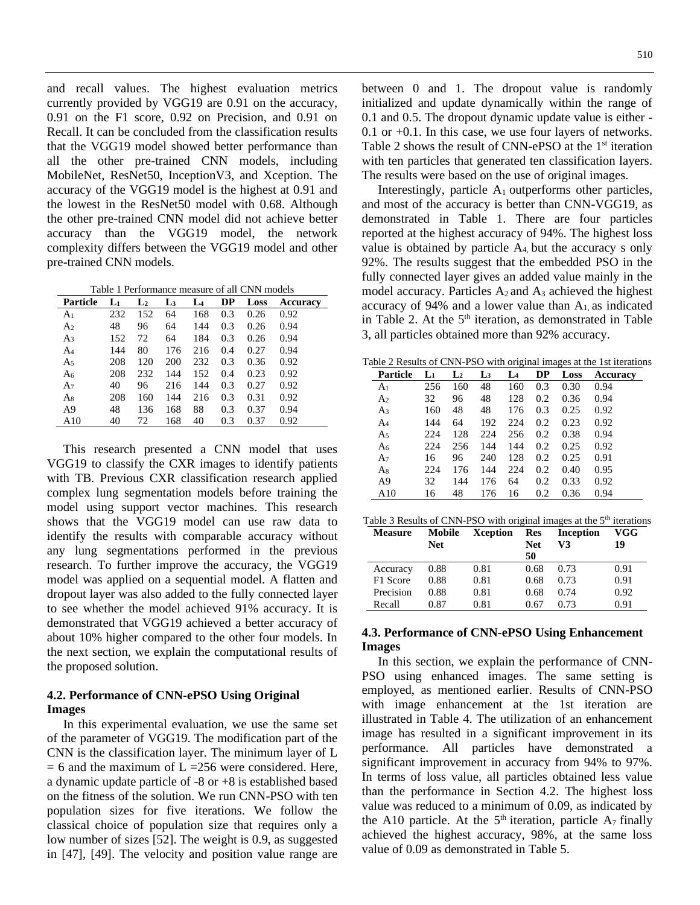and recall values. The highest evaluation metrics currently provided by VGG19 are 0.91 on the accuracy, 0.91 on the F1 score, 0.92 on Precision, and 0.91 on Recall. It can be concluded from the classification results that the VGG19 model showed better performance than all the other pre-trained CNN models, including MobileNet, ResNet50, InceptionV3, and Xception. The accuracy of the VGG19 model is the highest at 0.91 and the lowest in the ResNet50 model with 0.68. Although the other pre-trained CNN model did not achieve better accuracy than the VGG19 model, the network complexity differs between the VGG19 model and other pre-trained CNN models.

Table 1 Performance measure of all CNN models

| Particle       | $L_1$ | L <sub>2</sub> | L3  | L <sub>4</sub> | DP  | Loss | <b>Accuracy</b> |
|----------------|-------|----------------|-----|----------------|-----|------|-----------------|
| A1             | 232   | 152            | 64  | 168            | 0.3 | 0.26 | 0.92            |
| A <sub>2</sub> | 48    | 96             | 64  | 144            | 0.3 | 0.26 | 0.94            |
| A <sub>3</sub> | 152   | 72             | 64  | 184            | 0.3 | 0.26 | 0.94            |
| A4             | 144   | 80             | 176 | 216            | 0.4 | 0.27 | 0.94            |
| A <sub>5</sub> | 208   | 120            | 200 | 232            | 0.3 | 0.36 | 0.92            |
| A <sub>6</sub> | 208   | 232            | 144 | 152            | 0.4 | 0.23 | 0.92            |
| A7             | 40    | 96             | 216 | 144            | 0.3 | 0.27 | 0.92            |
| As             | 208   | 160            | 144 | 216            | 0.3 | 0.31 | 0.92            |
| A9             | 48    | 136            | 168 | 88             | 0.3 | 0.37 | 0.94            |
| A10            | 40    | 72             | 168 | 40             | 0.3 | 0.37 | 0.92            |

This research presented a CNN model that uses VGG19 to classify the CXR images to identify patients with TB. Previous CXR classification research applied complex lung segmentation models before training the model using support vector machines. This research shows that the VGG19 model can use raw data to identify the results with comparable accuracy without any lung segmentations performed in the previous research. To further improve the accuracy, the VGG19 model was applied on a sequential model. A flatten and dropout layer was also added to the fully connected layer to see whether the model achieved 91% accuracy. It is demonstrated that VGG19 achieved a better accuracy of about 10% higher compared to the other four models. In the next section, we explain the computational results of the proposed solution.

### **4.2. Performance of CNN-ePSO Using Original Images**

In this experimental evaluation, we use the same set of the parameter of VGG19. The modification part of the CNN is the classification layer. The minimum layer of L  $= 6$  and the maximum of L =256 were considered. Here, a dynamic update particle of -8 or +8 is established based on the fitness of the solution. We run CNN-PSO with ten population sizes for five iterations. We follow the classical choice of population size that requires only a low number of sizes [52]. The weight is 0.9, as suggested in [47], [49]. The velocity and position value range are

between 0 and 1. The dropout value is randomly initialized and update dynamically within the range of 0.1 and 0.5. The dropout dynamic update value is either - 0.1 or +0.1. In this case, we use four layers of networks. Table 2 shows the result of CNN-ePSO at the 1<sup>st</sup> iteration with ten particles that generated ten classification layers. The results were based on the use of original images.

Interestingly, particle  $A_1$  outperforms other particles, and most of the accuracy is better than CNN-VGG19, as demonstrated in Table 1. There are four particles reported at the highest accuracy of 94%. The highest loss value is obtained by particle  $A_4$  but the accuracy s only 92%. The results suggest that the embedded PSO in the fully connected layer gives an added value mainly in the model accuracy. Particles  $A_2$  and  $A_3$  achieved the highest accuracy of 94% and a lower value than  $A<sub>1</sub>$  as indicated in Table 2. At the  $5<sup>th</sup>$  iteration, as demonstrated in Table 3, all particles obtained more than 92% accuracy.

Table 2 Results of CNN-PSO with original images at the 1st iterations

| <b>Particle</b> | $L_1$ | $L_2$ | $\mathbf{L}_3$ | L4  | DP  | Loss | Accuracy |
|-----------------|-------|-------|----------------|-----|-----|------|----------|
| A <sub>1</sub>  | 256   | 160   | 48             | 160 | 0.3 | 0.30 | 0.94     |
| A <sub>2</sub>  | 32    | 96    | 48             | 128 | 0.2 | 0.36 | 0.94     |
| A <sub>3</sub>  | 160   | 48    | 48             | 176 | 0.3 | 0.25 | 0.92     |
| A <sub>4</sub>  | 144   | 64    | 192            | 224 | 0.2 | 0.23 | 0.92     |
| A5              | 224   | 128   | 224            | 256 | 0.2 | 0.38 | 0.94     |
| A <sub>6</sub>  | 224   | 256   | 144            | 144 | 0.2 | 0.25 | 0.92     |
| A7              | 16    | 96    | 240            | 128 | 0.2 | 0.25 | 0.91     |
| A8              | 224   | 176   | 144            | 224 | 0.2 | 0.40 | 0.95     |
| A <sub>9</sub>  | 32    | 144   | 176            | 64  | 0.2 | 0.33 | 0.92     |
| A10             | 16    | 48    | 176            | 16  | 0.2 | 0.36 | 0.94     |

|  | Table 3 Results of CNN-PSO with original images at the 5 <sup>th</sup> iterations |  |  |  |
|--|-----------------------------------------------------------------------------------|--|--|--|
|  |                                                                                   |  |  |  |

| <b>Measure</b> | Mobile<br><b>Net</b> | Xception | Res<br><b>Net</b> | <b>Inception</b><br>V3 | VGG<br>19 |
|----------------|----------------------|----------|-------------------|------------------------|-----------|
| Accuracy       | 0.88                 | 0.81     | 50<br>0.68        | 0.73                   | 0.91      |
| F1 Score       | 0.88                 | 0.81     | 0.68              | 0.73                   | 0.91      |
| Precision      | 0.88                 | 0.81     | 0.68              | 0.74                   | 0.92      |
| Recall         | 0.87                 | 0.81     | 0.67              | 0.73                   | 0.91      |

### **4.3. Performance of CNN-ePSO Using Enhancement Images**

In this section, we explain the performance of CNN-PSO using enhanced images. The same setting is employed, as mentioned earlier. Results of CNN-PSO with image enhancement at the 1st iteration are illustrated in Table 4. The utilization of an enhancement image has resulted in a significant improvement in its performance. All particles have demonstrated a significant improvement in accuracy from 94% to 97%. In terms of loss value, all particles obtained less value than the performance in Section 4.2. The highest loss value was reduced to a minimum of 0.09, as indicated by the A10 particle. At the  $5<sup>th</sup>$  iteration, particle A<sub>7</sub> finally achieved the highest accuracy, 98%, at the same loss value of 0.09 as demonstrated in Table 5.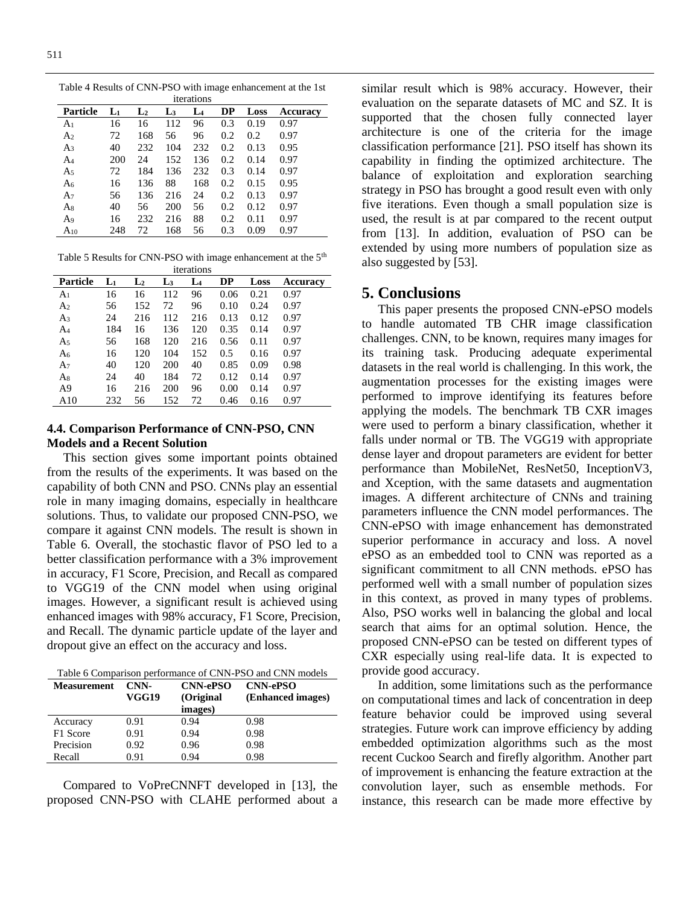**Particle L<sup>1</sup> L<sup>2</sup> L<sup>3</sup> L<sup>4</sup> DP Loss Accuracy** A<sup>1</sup> 16 16 112 96 0.3 0.19 0.97 A<sup>2</sup> 72 168 56 96 0.2 0.2 0.97 A<sup>3</sup> 40 232 104 232 0.2 0.13 0.95 A<sup>4</sup> 200 24 152 136 0.2 0.14 0.97 A<sup>5</sup> 72 184 136 232 0.3 0.14 0.97 A<sup>6</sup> 16 136 88 168 0.2 0.15 0.95 A<sup>7</sup> 56 136 216 24 0.2 0.13 0.97 A<sup>8</sup> 40 56 200 56 0.2 0.12 0.97 A<sup>9</sup> 16 232 216 88 0.2 0.11 0.97 A<sup>10</sup> 248 72 168 56 0.3 0.09 0.97

Table 4 Results of CNN-PSO with image enhancement at the 1st iterations

| Table 5 Results for CNN-PSO with image enhancement at the 5 <sup>th</sup> |  |
|---------------------------------------------------------------------------|--|
| $14 - 12 = 12$                                                            |  |

|                |       |                |                | <i>s</i> terations |      |      |          |
|----------------|-------|----------------|----------------|--------------------|------|------|----------|
| Particle       | $L_1$ | $\mathbf{L}_2$ | L <sub>3</sub> | $L_4$              | DP   | Loss | Accuracy |
| A <sub>1</sub> | 16    | 16             | 112            | 96                 | 0.06 | 0.21 | 0.97     |
| A <sub>2</sub> | 56    | 152            | 72             | 96                 | 0.10 | 0.24 | 0.97     |
| A <sub>3</sub> | 24    | 216            | 112            | 216                | 0.13 | 0.12 | 0.97     |
| A4             | 184   | 16             | 136            | 120                | 0.35 | 0.14 | 0.97     |
| A <sub>5</sub> | 56    | 168            | 120            | 216                | 0.56 | 0.11 | 0.97     |
| $A_6$          | 16    | 120            | 104            | 152                | 0.5  | 0.16 | 0.97     |
| $A_7$          | 40    | 120            | 200            | 40                 | 0.85 | 0.09 | 0.98     |
| $A_8$          | 24    | 40             | 184            | 72                 | 0.12 | 0.14 | 0.97     |
| A9             | 16    | 216            | 200            | 96                 | 0.00 | 0.14 | 0.97     |
| A10            | 232   | 56             | 152            | 72                 | 0.46 | 0.16 | 0.97     |

### **4.4. Comparison Performance of CNN-PSO, CNN Models and a Recent Solution**

This section gives some important points obtained from the results of the experiments. It was based on the capability of both CNN and PSO. CNNs play an essential role in many imaging domains, especially in healthcare solutions. Thus, to validate our proposed CNN-PSO, we compare it against CNN models. The result is shown in Table 6. Overall, the stochastic flavor of PSO led to a better classification performance with a 3% improvement in accuracy, F1 Score, Precision, and Recall as compared to VGG19 of the CNN model when using original images. However, a significant result is achieved using enhanced images with 98% accuracy, F1 Score, Precision, and Recall. The dynamic particle update of the layer and dropout give an effect on the accuracy and loss.

Table 6 Comparison performance of CNN-PSO and CNN models

| Measurement | CNN-  | <b>CNN-ePSO</b> | <b>CNN-ePSO</b>   |  |
|-------------|-------|-----------------|-------------------|--|
|             | VGG19 | (Original       | (Enhanced images) |  |
|             |       | images)         |                   |  |
| Accuracy    | 0.91  | 0.94            | 0.98              |  |
| F1 Score    | 0.91  | 0.94            | 0.98              |  |
| Precision   | 0.92  | 0.96            | 0.98              |  |
| Recall      | 0.91  | 0.94            | 0.98              |  |

Compared to VoPreCNNFT developed in [13], the proposed CNN-PSO with CLAHE performed about a similar result which is 98% accuracy. However, their evaluation on the separate datasets of MC and SZ. It is supported that the chosen fully connected layer architecture is one of the criteria for the image classification performance [21]. PSO itself has shown its capability in finding the optimized architecture. The balance of exploitation and exploration searching strategy in PSO has brought a good result even with only five iterations. Even though a small population size is used, the result is at par compared to the recent output from [13]. In addition, evaluation of PSO can be extended by using more numbers of population size as also suggested by [53].

# **5. Conclusions**

This paper presents the proposed CNN-ePSO models to handle automated TB CHR image classification challenges. CNN, to be known, requires many images for its training task. Producing adequate experimental datasets in the real world is challenging. In this work, the augmentation processes for the existing images were performed to improve identifying its features before applying the models. The benchmark TB CXR images were used to perform a binary classification, whether it falls under normal or TB. The VGG19 with appropriate dense layer and dropout parameters are evident for better performance than MobileNet, ResNet50, InceptionV3, and Xception, with the same datasets and augmentation images. A different architecture of CNNs and training parameters influence the CNN model performances. The CNN-ePSO with image enhancement has demonstrated superior performance in accuracy and loss. A novel ePSO as an embedded tool to CNN was reported as a significant commitment to all CNN methods. ePSO has performed well with a small number of population sizes in this context, as proved in many types of problems. Also, PSO works well in balancing the global and local search that aims for an optimal solution. Hence, the proposed CNN-ePSO can be tested on different types of CXR especially using real-life data. It is expected to provide good accuracy.

In addition, some limitations such as the performance on computational times and lack of concentration in deep feature behavior could be improved using several strategies. Future work can improve efficiency by adding embedded optimization algorithms such as the most recent Cuckoo Search and firefly algorithm. Another part of improvement is enhancing the feature extraction at the convolution layer, such as ensemble methods. For instance, this research can be made more effective by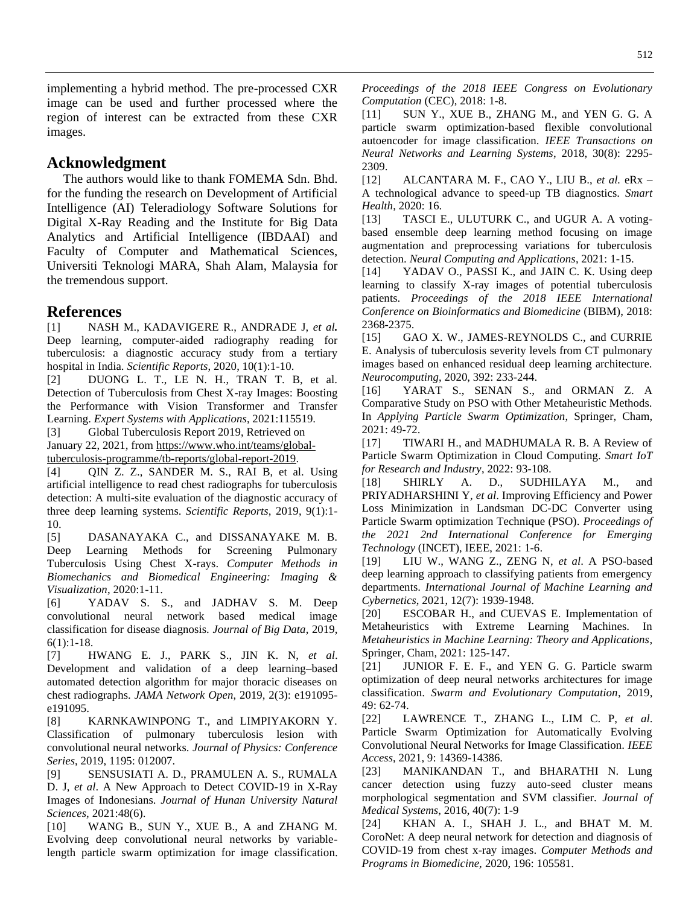implementing a hybrid method. The pre-processed CXR image can be used and further processed where the region of interest can be extracted from these CXR images.

## **Acknowledgment**

The authors would like to thank FOMEMA Sdn. Bhd. for the funding the research on Development of Artificial Intelligence (AI) Teleradiology Software Solutions for Digital X-Ray Reading and the Institute for Big Data Analytics and Artificial Intelligence (IBDAAI) and Faculty of Computer and Mathematical Sciences, Universiti Teknologi MARA, Shah Alam, Malaysia for the tremendous support.

## **References**

[1] NASH M., KADAVIGERE R., ANDRADE J, *et al.* Deep learning, computer-aided radiography reading for tuberculosis: a diagnostic accuracy study from a tertiary hospital in India. *Scientific Reports*, 2020, 10(1):1-10.

[2] DUONG L. T., LE N. H., TRAN T. B, et al. Detection of Tuberculosis from Chest X-ray Images: Boosting the Performance with Vision Transformer and Transfer Learning. *Expert Systems with Applications*, 2021:115519.

[3] Global Tuberculosis Report 2019, Retrieved on January 22, 2021, fro[m https://www.who.int/teams/global](https://www.who.int/teams/global-tuberculosis-programme/tb-reports/global-report-2019)[tuberculosis-programme/tb-reports/global-report-2019.](https://www.who.int/teams/global-tuberculosis-programme/tb-reports/global-report-2019)

[4] QIN Z. Z., SANDER M. S., RAI B, et al. Using artificial intelligence to read chest radiographs for tuberculosis detection: A multi-site evaluation of the diagnostic accuracy of three deep learning systems. *Scientific Reports*, 2019, 9(1):1- 10.

[5] DASANAYAKA C., and DISSANAYAKE M. B. Deep Learning Methods for Screening Pulmonary Tuberculosis Using Chest X-rays. *Computer Methods in Biomechanics and Biomedical Engineering: Imaging & Visualization*, 2020:1-11.

[6] YADAV S. S., and JADHAV S. M. Deep convolutional neural network based medical image classification for disease diagnosis. *Journal of Big Data*, 2019, 6(1):1-18.

[7] HWANG E. J., PARK S., JIN K. N, *et al*. Development and validation of a deep learning–based automated detection algorithm for major thoracic diseases on chest radiographs. *JAMA Network Open*, 2019, 2(3): e191095 e191095.

[8] KARNKAWINPONG T., and LIMPIYAKORN Y. Classification of pulmonary tuberculosis lesion with convolutional neural networks. *Journal of Physics: Conference Series*, 2019, 1195: 012007.

[9] SENSUSIATI A. D., PRAMULEN A. S., RUMALA D. J, *et al*. A New Approach to Detect COVID-19 in X-Ray Images of Indonesians. *Journal of Hunan University Natural Sciences*, 2021:48(6).

[10] WANG B., SUN Y., XUE B., A and ZHANG M. Evolving deep convolutional neural networks by variablelength particle swarm optimization for image classification. *Proceedings of the 2018 IEEE Congress on Evolutionary Computation* (CEC), 2018: 1-8.

[11] SUN Y., XUE B., ZHANG M., and YEN G. G. A particle swarm optimization-based flexible convolutional autoencoder for image classification. *IEEE Transactions on Neural Networks and Learning Systems*, 2018, 30(8): 2295- 2309.

[12] ALCANTARA M. F., CAO Y., LIU B., *et al.* eRx – A technological advance to speed-up TB diagnostics. *Smart Health*, 2020: 16.

[13] TASCI E., ULUTURK C., and UGUR A. A votingbased ensemble deep learning method focusing on image augmentation and preprocessing variations for tuberculosis detection. *Neural Computing and Applications*, 2021: 1-15.

[14] YADAV O., PASSI K., and JAIN C. K. Using deep learning to classify X-ray images of potential tuberculosis patients. *Proceedings of the 2018 IEEE International Conference on Bioinformatics and Biomedicine* (BIBM), 2018: 2368-2375.

[15] GAO X. W., JAMES-REYNOLDS C., and CURRIE E. Analysis of tuberculosis severity levels from CT pulmonary images based on enhanced residual deep learning architecture. *Neurocomputing*, 2020, 392: 233-244.

[16] YARAT S., SENAN S., and ORMAN Z. A Comparative Study on PSO with Other Metaheuristic Methods. In *Applying Particle Swarm Optimization*, Springer, Cham, 2021: 49-72.

[17] TIWARI H., and MADHUMALA R. B. A Review of Particle Swarm Optimization in Cloud Computing. *Smart IoT for Research and Industry*, 2022: 93-108.

[18] SHIRLY A. D., SUDHILAYA M., and PRIYADHARSHINI Y*, et al*. Improving Efficiency and Power Loss Minimization in Landsman DC-DC Converter using Particle Swarm optimization Technique (PSO). *Proceedings of the 2021 2nd International Conference for Emerging Technology* (INCET), IEEE, 2021: 1-6.

[19] LIU W., WANG Z., ZENG N, *et al*. A PSO-based deep learning approach to classifying patients from emergency departments. *International Journal of Machine Learning and Cybernetics*, 2021, 12(7): 1939-1948.

[20] ESCOBAR H., and CUEVAS E. Implementation of Metaheuristics with Extreme Learning Machines. In *Metaheuristics in Machine Learning: Theory and Applications*, Springer, Cham, 2021: 125-147.

[21] JUNIOR F. E. F., and YEN G. G. Particle swarm optimization of deep neural networks architectures for image classification. *Swarm and Evolutionary Computation*, 2019, 49: 62-74.

[22] LAWRENCE T., ZHANG L., LIM C. P, *et al*. Particle Swarm Optimization for Automatically Evolving Convolutional Neural Networks for Image Classification. *IEEE Access*, 2021, 9: 14369-14386.

[23] MANIKANDAN T., and BHARATHI N. Lung cancer detection using fuzzy auto-seed cluster means morphological segmentation and SVM classifier. *Journal of Medical Systems*, 2016, 40(7): 1-9

[24] KHAN A. I., SHAH J. L., and BHAT M. M. CoroNet: A deep neural network for detection and diagnosis of COVID-19 from chest x-ray images. *Computer Methods and Programs in Biomedicine,* 2020, 196: 105581.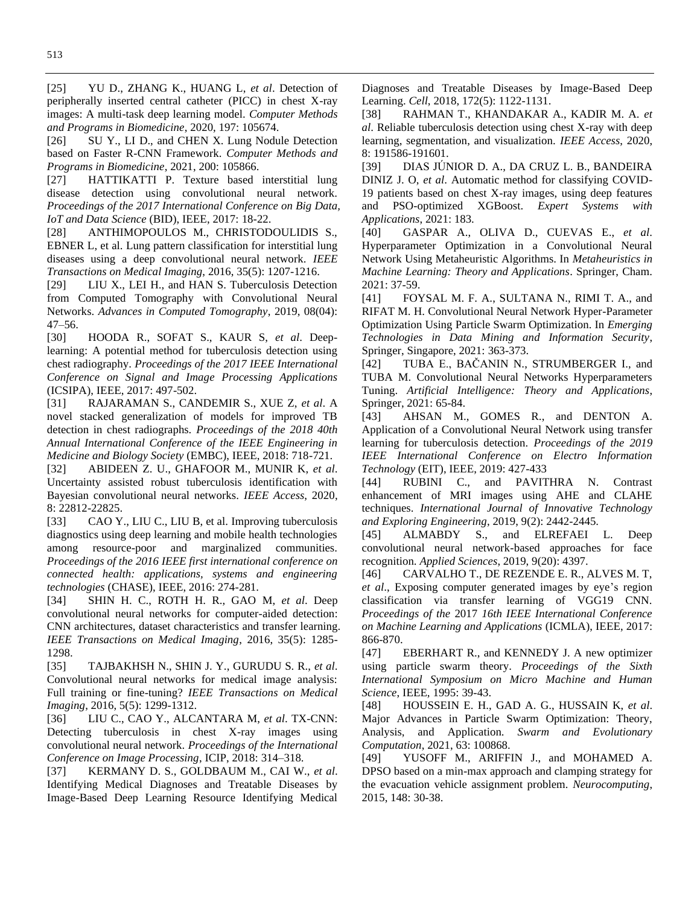[25] YU D., ZHANG K., HUANG L, *et al*. Detection of peripherally inserted central catheter (PICC) in chest X-ray images: A multi-task deep learning model. *Computer Methods and Programs in Biomedicine*, 2020, 197: 105674.

[26] SU Y., LI D., and CHEN X. Lung Nodule Detection based on Faster R-CNN Framework. *Computer Methods and Programs in Biomedicine*, 2021, 200: 105866.

[27] HATTIKATTI P. Texture based interstitial lung disease detection using convolutional neural network. *Proceedings of the 2017 International Conference on Big Data, IoT and Data Science* (BID), IEEE, 2017: 18-22.

[28] ANTHIMOPOULOS M., CHRISTODOULIDIS S., EBNER L, et al. Lung pattern classification for interstitial lung diseases using a deep convolutional neural network. *IEEE Transactions on Medical Imaging*, 2016, 35(5): 1207-1216.

[29] LIU X., LEI H., and HAN S. Tuberculosis Detection from Computed Tomography with Convolutional Neural Networks. *Advances in Computed Tomography*, 2019, 08(04): 47–56.

[30] HOODA R., SOFAT S., KAUR S, *et al*. Deeplearning: A potential method for tuberculosis detection using chest radiography. *Proceedings of the 2017 IEEE International Conference on Signal and Image Processing Applications* (ICSIPA), IEEE, 2017: 497-502.

[31] RAJARAMAN S., CANDEMIR S., XUE Z, *et al*. A novel stacked generalization of models for improved TB detection in chest radiographs. *Proceedings of the 2018 40th Annual International Conference of the IEEE Engineering in Medicine and Biology Society* (EMBC), IEEE, 2018: 718-721.

[32] ABIDEEN Z. U., GHAFOOR M., MUNIR K, *et al*. Uncertainty assisted robust tuberculosis identification with Bayesian convolutional neural networks. *IEEE Access*, 2020, 8: 22812-22825.

[33] CAO Y., LIU C., LIU B, et al. Improving tuberculosis diagnostics using deep learning and mobile health technologies among resource-poor and marginalized communities. *Proceedings of the 2016 IEEE first international conference on connected health: applications, systems and engineering technologies* (CHASE), IEEE, 2016: 274-281.

[34] SHIN H. C., ROTH H. R., GAO M, *et al*. Deep convolutional neural networks for computer-aided detection: CNN architectures, dataset characteristics and transfer learning. *IEEE Transactions on Medical Imaging*, 2016, 35(5): 1285- 1298.

[35] TAJBAKHSH N., SHIN J. Y., GURUDU S. R., *et al*. Convolutional neural networks for medical image analysis: Full training or fine-tuning? *IEEE Transactions on Medical Imaging*, 2016, 5(5): 1299-1312.

[36] LIU C., CAO Y., ALCANTARA M, *et al*. TX-CNN: Detecting tuberculosis in chest X-ray images using convolutional neural network. *Proceedings of the International Conference on Image Processing*, ICIP, 2018: 314–318.

[37] KERMANY D. S., GOLDBAUM M., CAI W., *et al*. Identifying Medical Diagnoses and Treatable Diseases by Image-Based Deep Learning Resource Identifying Medical

Diagnoses and Treatable Diseases by Image-Based Deep Learning. *Cell*, 2018, 172(5): 1122-1131.

[38] RAHMAN T., KHANDAKAR A., KADIR M. A. *et al*. Reliable tuberculosis detection using chest X-ray with deep learning, segmentation, and visualization. *IEEE Access*, 2020, 8: 191586-191601.

[39] DIAS JÚNIOR D. A., DA CRUZ L. B., BANDEIRA DINIZ J. O, *et al*. Automatic method for classifying COVID-19 patients based on chest X-ray images, using deep features and PSO-optimized XGBoost. *Expert Systems with Applications*, 2021: 183.

[40] GASPAR A., OLIVA D., CUEVAS E., *et al*. Hyperparameter Optimization in a Convolutional Neural Network Using Metaheuristic Algorithms. In *Metaheuristics in Machine Learning: Theory and Applications*. Springer, Cham. 2021: 37-59.

[41] FOYSAL M. F. A., SULTANA N., RIMI T. A., and RIFAT M. H. Convolutional Neural Network Hyper-Parameter Optimization Using Particle Swarm Optimization. In *Emerging Technologies in Data Mining and Information Security*, Springer, Singapore, 2021: 363-373.

[42] TUBA E., BAČANIN N., STRUMBERGER I., and TUBA M. Convolutional Neural Networks Hyperparameters Tuning. *Artificial Intelligence: Theory and Applications*, Springer, 2021: 65-84.

[43] AHSAN M., GOMES R., and DENTON A. Application of a Convolutional Neural Network using transfer learning for tuberculosis detection. *Proceedings of the 2019 IEEE International Conference on Electro Information Technology* (EIT), IEEE, 2019: 427-433

[44] RUBINI C., and PAVITHRA N. Contrast enhancement of MRI images using AHE and CLAHE techniques. *International Journal of Innovative Technology and Exploring Engineering*, 2019, 9(2): 2442-2445.

[45] ALMABDY S., and ELREFAEI L. Deep convolutional neural network-based approaches for face recognition. *Applied Sciences*, 2019, 9(20): 4397.

[46] CARVALHO T., DE REZENDE E. R., ALVES M. T, *et al*., Exposing computer generated images by eye's region classification via transfer learning of VGG19 CNN. *Proceedings of the* 2017 *16th IEEE International Conference on Machine Learning and Applications* (ICMLA), IEEE, 2017: 866-870.

[47] EBERHART R., and KENNEDY J. A new optimizer using particle swarm theory. *Proceedings of the Sixth International Symposium on Micro Machine and Human Science*, IEEE, 1995: 39-43.

[48] HOUSSEIN E. H., GAD A. G., HUSSAIN K, *et al*. Major Advances in Particle Swarm Optimization: Theory, Analysis, and Application. *Swarm and Evolutionary Computation*, 2021, 63: 100868.

[49] YUSOFF M., ARIFFIN J., and MOHAMED A. DPSO based on a min-max approach and clamping strategy for the evacuation vehicle assignment problem. *Neurocomputing*, 2015, 148: 30-38.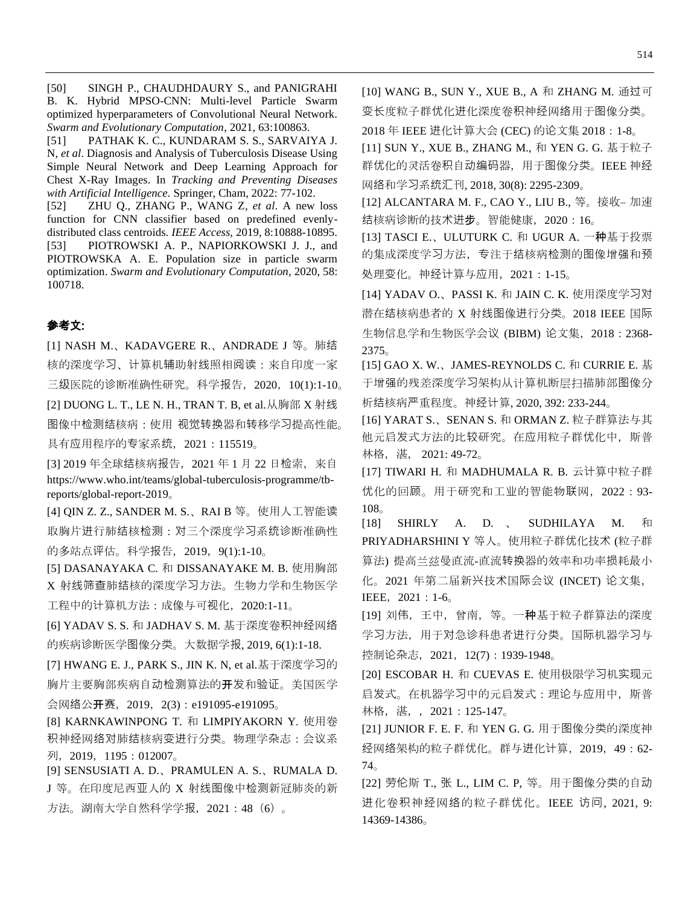[50] SINGH P., CHAUDHDAURY S., and PANIGRAHI B. K. Hybrid MPSO-CNN: Multi-level Particle Swarm optimized hyperparameters of Convolutional Neural Network. *Swarm and Evolutionary Computation*, 2021, 63:100863.

[51] PATHAK K. C., KUNDARAM S. S., SARVAIYA J. N, *et al*. Diagnosis and Analysis of Tuberculosis Disease Using Simple Neural Network and Deep Learning Approach for Chest X-Ray Images. In *Tracking and Preventing Diseases with Artificial Intelligence.* Springer, Cham, 2022: 77-102.

[52] ZHU Q., ZHANG P., WANG Z*, et al*. A new loss function for CNN classifier based on predefined evenlydistributed class centroids. *IEEE Access*, 2019, 8:10888-10895. [53] PIOTROWSKI A. P., NAPIORKOWSKI J. J., and PIOTROWSKA A. E. Population size in particle swarm optimization. *Swarm and Evolutionary Computation*, 2020, 58: 100718.

# 参考文:

[1] NASH M.、KADAVGERE R.、ANDRADE J 等。肺结 核的深度学习、计算机辅助射线照相阅读:来自印度一家 三级医院的诊断准确性研究。科学报告,2020,10(1):1-10。 [2] DUONG L. T., LE N. H., TRAN T. B, et al.从胸部 X 射线 图像中检测结核病:使用 视觉转换器和转移学习提高性能。 具有应用程序的专家系统,2021:115519。

[3] 2019 年全球结核病报告,2021 年 1 月 22 日检索,来自 https://www.who.int/teams/global-tuberculosis-programme/tbreports/global-report-2019。

[4] QIN Z. Z., SANDER M. S.、RAI B 等。使用人工智能读 取胸片进行肺结核检测:对三个深度学习系统诊断准确性 的多站点评估。科学报告,2019,9(1):1-10。

[5] DASANAYAKA C. 和 DISSANAYAKE M. B. 使用胸部 X 射线筛查肺结核的深度学习方法。生物力学和生物医学 工程中的计算机方法:成像与可视化,2020:1-11。

[6] YADAV S. S. 和 JADHAV S. M. 基于深度卷积神经网络 的疾病诊断医学图像分类。大数据学报, 2019, 6(1):1-18.

[7] HWANG E. J., PARK S., JIN K. N, et al.基于深度学习的 胸片主要胸部疾病自动检测算法的**开**发和验证。美国医学 会网络公开赛,2019,2(3):e191095-e191095。

[8] KARNKAWINPONG T. 和 LIMPIYAKORN Y. 使用卷 积神经网络对肺结核病变进行分类。物理学杂志:会议系 列,2019,1195:012007。

[9] SENSUSIATI A. D.、PRAMULEN A. S.、RUMALA D. J 等。在印度尼西亚人的 X 射线图像中检测新冠肺炎的新 方法。湖南大学自然科学学报,2021:48(6)。

[10] WANG B., SUN Y., XUE B., A 和 ZHANG M. 通过可 变长度粒子群优化进化深度卷积神经网络用于图像分类。 2018 年 IEEE 进化计算大会 (CEC) 的论文集 2018:1-8。

[11] SUN Y., XUE B., ZHANG M., 和 YEN G. G. 基于粒子 群优化的灵活卷积自动编码器,用于图像分类。IEEE 神经 网络和学习系统汇刊, 2018, 30(8): 2295-2309。

[12] ALCANTARA M. F., CAO Y., LIU B., 等。接收– 加速 结核病诊断的技术进步。智能健康,2020:16。

[13] TASCI E.、ULUTURK C. 和 UGUR A. 一种基于投票 的集成深度学习方法,专注于结核病检测的图像增强和预 处理变化。神经计算与应用,2021:1-15。

[14] YADAV O.、PASSI K. 和 JAIN C. K. 使用深度学习对 潜在结核病患者的 X 射线图像进行分类。2018 IEEE 国际 生物信息学和生物医学会议 (BIBM) 论文集, 2018: 2368-2375。

[15] GAO X. W.、JAMES-REYNOLDS C. 和 CURRIE E. 基 于增强的残差深度学习架构从计算机断层扫描肺部图像分 析结核病严重程度。神经计算, 2020, 392: 233-244。

[16] YARAT S.、SENAN S. 和 ORMAN Z. 粒子群算法与其 他元启发式方法的比较研究。在应用粒子群优化中,斯普 林格, 湛, 2021: 49-72。

[17] TIWARI H. 和 MADHUMALA R. B. 云计算中粒子群 优化的回顾。用于研究和工业的智能物联网,2022:93- 108。

[18] SHIRLY A. D. 、 SUDHILAYA M. 和 PRIYADHARSHINI Y 等人。使用粒子群优化技术 (粒子群 算法) 提高兰兹曼直流-直流转换器的效率和功率损耗最小 化。2021 年第二届新兴技术国际会议 (INCET) 论文集, IEEE,2021:1-6。

[19] 刘伟,王中,曾南,等。一种基于粒子群算法的深度 学习方法,用于对急诊科患者进行分类。国际机器学习与 控制论杂志,2021,12(7):1939-1948。

[20] ESCOBAR H. 和 CUEVAS E. 使用极限学习机实现元 启发式。在机器学习中的元启发式:理论与应用中,斯普 林格, 湛, , 2021:125-147。

[21] JUNIOR F. E. F. 和 YEN G. G. 用于图像分类的深度神 经网络架构的粒子群优化。群与进化计算,2019,49:62- 74。

[22] 劳伦斯 T., 张 L., LIM C. P, 等。用于图像分类的自动 进化卷积神经网络的粒子群优化。IEEE 访问, 2021, 9: 14369-14386。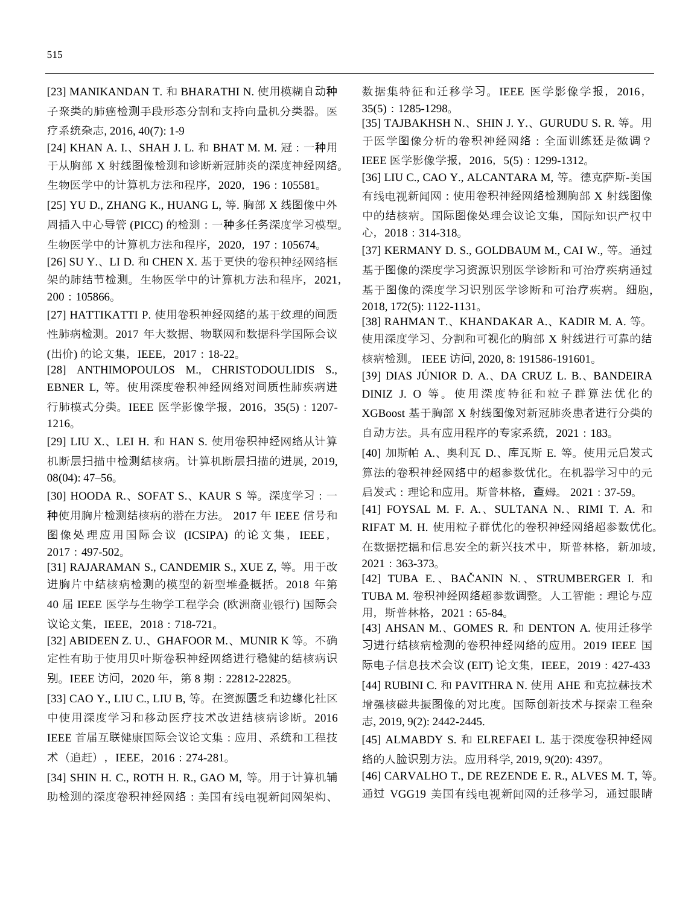[24] KHAN A. I.、SHAH J. L. 和 BHAT M. M. 冠: 一种用 于从胸部 X 射线图像检测和诊断新冠肺炎的深度神经网络。 生物医学中的计算机方法和程序,2020,196:105581。

[25] YU D., ZHANG K., HUANG L, 等. 胸部 X 线图像中外 周插入中心导管 (PICC) 的检测:一种多任务深度学习模型。 生物医学中的计算机方法和程序,2020,197:105674。

[26] SU Y.、LI D. 和 CHEN X. 基于更快的卷积神经网络框 架的肺结节检测。生物医学中的计算机方法和程序,2021, 200:105866。

[27] HATTIKATTI P. 使用卷积神经网络的基于纹理的间质 性肺病检测。2017 年大数据、物联网和数据科学国际会议 (出价) 的论文集,IEEE,2017:18-22。

[28] ANTHIMOPOULOS M., CHRISTODOULIDIS S., EBNER L, 等。使用深度卷积神经网络对间质性肺疾病进 行肺模式分类。IEEE 医学影像学报,2016,35(5):1207- 1216。

[29] LIU X.、LEI H. 和 HAN S. 使用卷积神经网络从计算 机断层扫描中检测结核病。计算机断层扫描的进展, 2019, 08(04): 47–56。

[30] HOODA R.、SOFAT S.、KAUR S 等。深度学习:一 种使用胸片检测结核病的潜在方法。 2017 年 IEEE 信号和 图像处理应用国际会议 (ICSIPA) 的论文集, IEEE, 2017:497-502。

[31] RAJARAMAN S., CANDEMIR S., XUE Z, 等。用于改 进胸片中结核病检测的模型的新型堆叠概括。2018 年第 40 届 IEEE 医学与生物学工程学会 (欧洲商业银行) 国际会 议论文集, IEEE, 2018: 718-721。

[32] ABIDEEN Z. U.、GHAFOOR M.、MUNIR K 等。不确 定性有助于使用贝叶斯卷积神经网络进行稳健的结核病识 别。IEEE 访问,2020 年,第 8 期:22812-22825。

[33] CAO Y., LIU C., LIU B, 等。在资源匮乏和边缘化社区 中使用深度学习和移动医疗技术改进结核病诊断。2016 IEEE 首届互联健康国际会议论文集:应用、系统和工程技 术(追赶),IEEE,2016:274-281。

[34] SHIN H. C., ROTH H. R., GAO M, 等。用于计算机辅 助检测的深度卷积神经网络:美国有线电视新闻网架构、

数据集特征和迁移学习。IEEE 医学影像学报, 2016,  $35(5):1285-1298$ <sub>o</sub>

[35] TAJBAKHSH N.、SHIN J. Y.、GURUDU S. R. 等。用 于医学图像分析的卷积神经网络:全面训练还是微调? IEEE 医学影像学报,2016,5(5):1299-1312。

[36] LIU C., CAO Y., ALCANTARA M, 等。德克萨斯-美国 有线电视新闻网:使用卷积神经网络检测胸部 X 射线图像 中的结核病。国际图像处理会议论文集,国际知识产权中 心,2018:314-318。

[37] KERMANY D. S., GOLDBAUM M., CAI W., 等。通过 基于图像的深度学习资源识别医学诊断和可治疗疾病通过 基于图像的深度学习识别医学诊断和可治疗疾病。细胞, 2018, 172(5): 1122-1131。

[38] RAHMAN T.、KHANDAKAR A.、KADIR M. A. 等。 使用深度学习、分割和可视化的胸部 X 射线进行可靠的结 核病检测。 IEEE 访问, 2020, 8: 191586-191601。

[39] DIAS JÚNIOR D. A.、DA CRUZ L. B.、BANDEIRA DINIZ J. O 等。使用深度特征和粒子群算法优化的 XGBoost 基于胸部 X 射线图像对新冠肺炎患者进行分类的 自动方法。具有应用程序的专家系统,2021:183。

[40] 加斯帕 A.、奥利瓦 D.、库瓦斯 E. 等。使用元启发式 算法的卷积神经网络中的超参数优化。在机器学习中的元 启发式:理论和应用。斯普林格,查姆。 2021:37-59。

[41] FOYSAL M. F. A.、SULTANA N.、RIMI T. A. 和 RIFAT M. H. 使用粒子群优化的卷积神经网络超参数优化。 在数据挖掘和信息安全的新兴技术中, 斯普林格, 新加坡, 2021:363-373。

[42] TUBA E. 、 BAČANIN N. 、 STRUMBERGER I. 和 TUBA M. 卷积神经网络超参数调整。人工智能:理论与应 用,斯普林格,2021:65-84。

[43] AHSAN M.、GOMES R. 和 DENTON A. 使用迁移学 习进行结核病检测的卷积神经网络的应用。2019 IEEE 国 际电子信息技术会议 (EIT) 论文集,IEEE,2019:427-433 [44] RUBINI C. 和 PAVITHRA N. 使用 AHE 和克拉赫技术 增强核磁共振图像的对比度。国际创新技术与探索工程杂 志, 2019, 9(2): 2442-2445.

[45] ALMABDY S. 和 ELREFAEI L. 基于深度卷积神经网 络的人脸识别方法。应用科学, 2019, 9(20): 4397。

[46] CARVALHO T., DE REZENDE E. R., ALVES M. T, 等。 通过 VGG19 美国有线电视新闻网的迁移学习, 通过眼睛